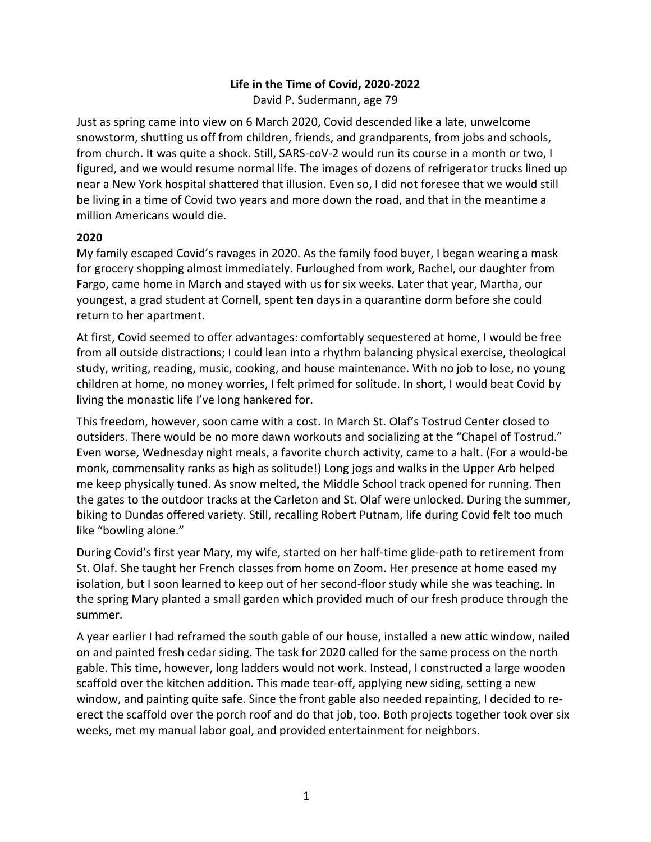## **Life in the Time of Covid, 2020-2022**

David P. Sudermann, age 79

Just as spring came into view on 6 March 2020, Covid descended like a late, unwelcome snowstorm, shutting us off from children, friends, and grandparents, from jobs and schools, from church. It was quite a shock. Still, SARS-coV-2 would run its course in a month or two, I figured, and we would resume normal life. The images of dozens of refrigerator trucks lined up near a New York hospital shattered that illusion. Even so, I did not foresee that we would still be living in a time of Covid two years and more down the road, and that in the meantime a million Americans would die.

## **2020**

My family escaped Covid's ravages in 2020. As the family food buyer, I began wearing a mask for grocery shopping almost immediately. Furloughed from work, Rachel, our daughter from Fargo, came home in March and stayed with us for six weeks. Later that year, Martha, our youngest, a grad student at Cornell, spent ten days in a quarantine dorm before she could return to her apartment.

At first, Covid seemed to offer advantages: comfortably sequestered at home, I would be free from all outside distractions; I could lean into a rhythm balancing physical exercise, theological study, writing, reading, music, cooking, and house maintenance. With no job to lose, no young children at home, no money worries, I felt primed for solitude. In short, I would beat Covid by living the monastic life I've long hankered for.

This freedom, however, soon came with a cost. In March St. Olaf's Tostrud Center closed to outsiders. There would be no more dawn workouts and socializing at the "Chapel of Tostrud." Even worse, Wednesday night meals, a favorite church activity, came to a halt. (For a would-be monk, commensality ranks as high as solitude!) Long jogs and walks in the Upper Arb helped me keep physically tuned. As snow melted, the Middle School track opened for running. Then the gates to the outdoor tracks at the Carleton and St. Olaf were unlocked. During the summer, biking to Dundas offered variety. Still, recalling Robert Putnam, life during Covid felt too much like "bowling alone."

During Covid's first year Mary, my wife, started on her half-time glide-path to retirement from St. Olaf. She taught her French classes from home on Zoom. Her presence at home eased my isolation, but I soon learned to keep out of her second-floor study while she was teaching. In the spring Mary planted a small garden which provided much of our fresh produce through the summer.

A year earlier I had reframed the south gable of our house, installed a new attic window, nailed on and painted fresh cedar siding. The task for 2020 called for the same process on the north gable. This time, however, long ladders would not work. Instead, I constructed a large wooden scaffold over the kitchen addition. This made tear-off, applying new siding, setting a new window, and painting quite safe. Since the front gable also needed repainting, I decided to reerect the scaffold over the porch roof and do that job, too. Both projects together took over six weeks, met my manual labor goal, and provided entertainment for neighbors.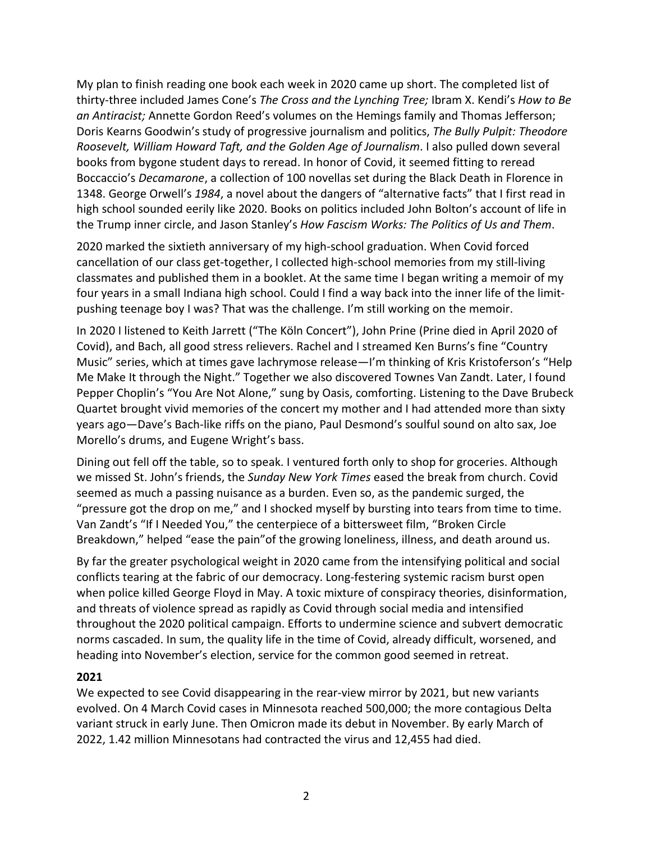My plan to finish reading one book each week in 2020 came up short. The completed list of thirty-three included James Cone's *The Cross and the Lynching Tree;* Ibram X. Kendi's *How to Be an Antiracist;* Annette Gordon Reed's volumes on the Hemings family and Thomas Jefferson; Doris Kearns Goodwin's study of progressive journalism and politics, *The Bully Pulpit: Theodore Roosevelt, William Howard Taft, and the Golden Age of Journalism*. I also pulled down several books from bygone student days to reread. In honor of Covid, it seemed fitting to reread Boccaccio's *Decamarone*, a collection of 100 novellas set during the Black Death in Florence in 1348. George Orwell's *1984*, a novel about the dangers of "alternative facts" that I first read in high school sounded eerily like 2020. Books on politics included John Bolton's account of life in the Trump inner circle, and Jason Stanley's *How Fascism Works: The Politics of Us and Them*.

2020 marked the sixtieth anniversary of my high-school graduation. When Covid forced cancellation of our class get-together, I collected high-school memories from my still-living classmates and published them in a booklet. At the same time I began writing a memoir of my four years in a small Indiana high school. Could I find a way back into the inner life of the limitpushing teenage boy I was? That was the challenge. I'm still working on the memoir.

In 2020 I listened to Keith Jarrett ("The Köln Concert"), John Prine (Prine died in April 2020 of Covid), and Bach, all good stress relievers. Rachel and I streamed Ken Burns's fine "Country Music" series, which at times gave lachrymose release—I'm thinking of Kris Kristoferson's "Help Me Make It through the Night." Together we also discovered Townes Van Zandt. Later, I found Pepper Choplin's "You Are Not Alone," sung by Oasis, comforting. Listening to the Dave Brubeck Quartet brought vivid memories of the concert my mother and I had attended more than sixty years ago—Dave's Bach-like riffs on the piano, Paul Desmond's soulful sound on alto sax, Joe Morello's drums, and Eugene Wright's bass.

Dining out fell off the table, so to speak. I ventured forth only to shop for groceries. Although we missed St. John's friends, the *Sunday New York Times* eased the break from church. Covid seemed as much a passing nuisance as a burden. Even so, as the pandemic surged, the "pressure got the drop on me," and I shocked myself by bursting into tears from time to time. Van Zandt's "If I Needed You," the centerpiece of a bittersweet film, "Broken Circle Breakdown," helped "ease the pain"of the growing loneliness, illness, and death around us.

By far the greater psychological weight in 2020 came from the intensifying political and social conflicts tearing at the fabric of our democracy. Long-festering systemic racism burst open when police killed George Floyd in May. A toxic mixture of conspiracy theories, disinformation, and threats of violence spread as rapidly as Covid through social media and intensified throughout the 2020 political campaign. Efforts to undermine science and subvert democratic norms cascaded. In sum, the quality life in the time of Covid, already difficult, worsened, and heading into November's election, service for the common good seemed in retreat.

## **2021**

We expected to see Covid disappearing in the rear-view mirror by 2021, but new variants evolved. On 4 March Covid cases in Minnesota reached 500,000; the more contagious Delta variant struck in early June. Then Omicron made its debut in November. By early March of 2022, 1.42 million Minnesotans had contracted the virus and 12,455 had died.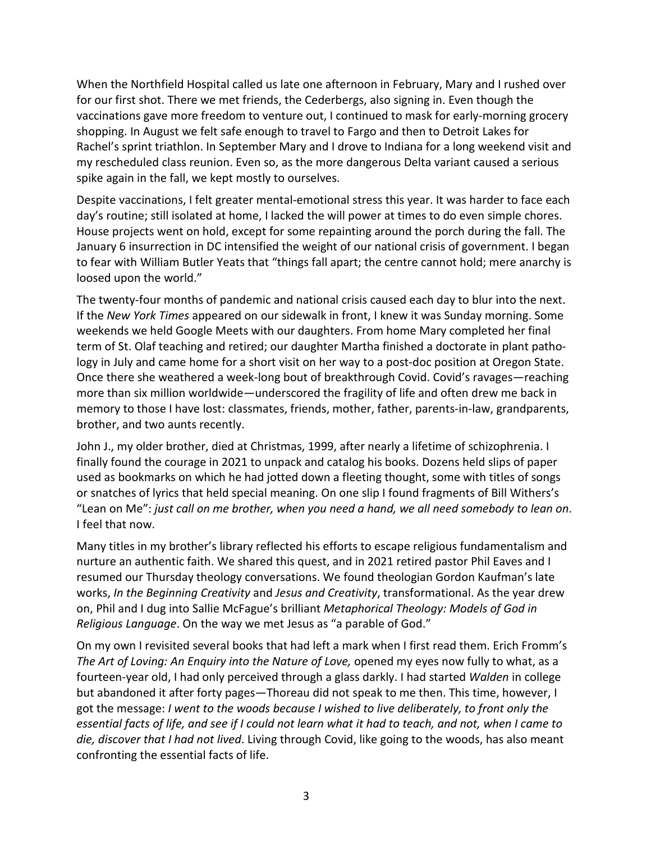When the Northfield Hospital called us late one afternoon in February, Mary and I rushed over for our first shot. There we met friends, the Cederbergs, also signing in. Even though the vaccinations gave more freedom to venture out, I continued to mask for early-morning grocery shopping. In August we felt safe enough to travel to Fargo and then to Detroit Lakes for Rachel's sprint triathlon. In September Mary and I drove to Indiana for a long weekend visit and my rescheduled class reunion. Even so, as the more dangerous Delta variant caused a serious spike again in the fall, we kept mostly to ourselves.

Despite vaccinations, I felt greater mental-emotional stress this year. It was harder to face each day's routine; still isolated at home, I lacked the will power at times to do even simple chores. House projects went on hold, except for some repainting around the porch during the fall. The January 6 insurrection in DC intensified the weight of our national crisis of government. I began to fear with William Butler Yeats that "things fall apart; the centre cannot hold; mere anarchy is loosed upon the world."

The twenty-four months of pandemic and national crisis caused each day to blur into the next. If the *New York Times* appeared on our sidewalk in front, I knew it was Sunday morning. Some weekends we held Google Meets with our daughters. From home Mary completed her final term of St. Olaf teaching and retired; our daughter Martha finished a doctorate in plant pathology in July and came home for a short visit on her way to a post-doc position at Oregon State. Once there she weathered a week-long bout of breakthrough Covid. Covid's ravages—reaching more than six million worldwide—underscored the fragility of life and often drew me back in memory to those I have lost: classmates, friends, mother, father, parents-in-law, grandparents, brother, and two aunts recently.

John J., my older brother, died at Christmas, 1999, after nearly a lifetime of schizophrenia. I finally found the courage in 2021 to unpack and catalog his books. Dozens held slips of paper used as bookmarks on which he had jotted down a fleeting thought, some with titles of songs or snatches of lyrics that held special meaning. On one slip I found fragments of Bill Withers's "Lean on Me": *just call on me brother, when you need a hand, we all need somebody to lean on*. I feel that now.

Many titles in my brother's library reflected his efforts to escape religious fundamentalism and nurture an authentic faith. We shared this quest, and in 2021 retired pastor Phil Eaves and I resumed our Thursday theology conversations. We found theologian Gordon Kaufman's late works, *In the Beginning Creativity* and *Jesus and Creativity*, transformational. As the year drew on, Phil and I dug into Sallie McFague's brilliant *Metaphorical Theology: Models of God in Religious Language*. On the way we met Jesus as "a parable of God."

On my own I revisited several books that had left a mark when I first read them. Erich Fromm's *The Art of Loving: An Enquiry into the Nature of Love,* opened my eyes now fully to what, as a fourteen-year old, I had only perceived through a glass darkly. I had started *Walden* in college but abandoned it after forty pages—Thoreau did not speak to me then. This time, however, I got the message: *I went to the woods because I wished to live deliberately, to front only the essential facts of life, and see if I could not learn what it had to teach, and not, when I came to die, discover that I had not lived*. Living through Covid, like going to the woods, has also meant confronting the essential facts of life.